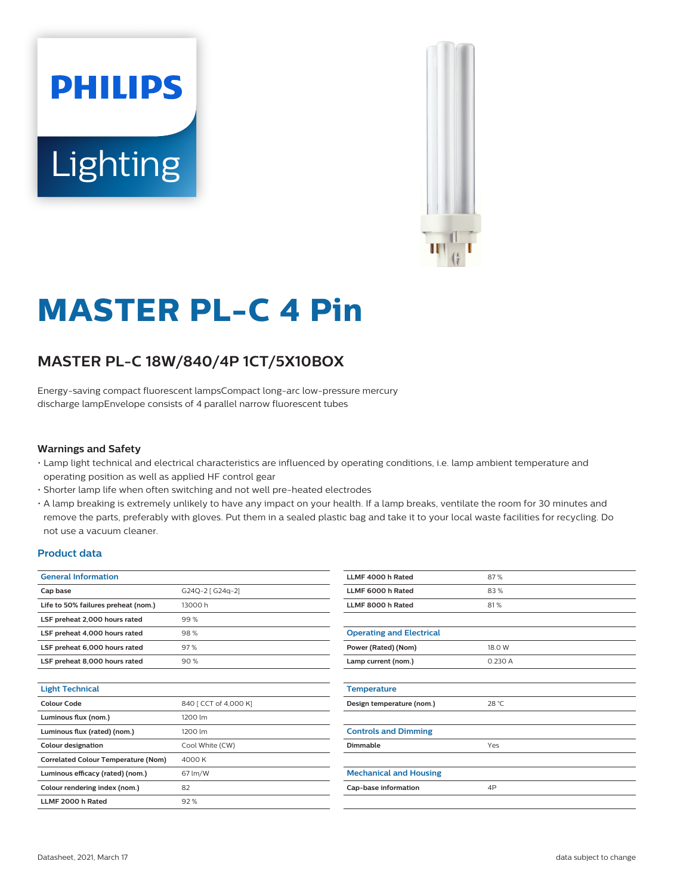



# **MASTER PL-C 4 Pin**

# **MASTER PL-C 18W/840/4P 1CT/5X10BOX**

Energy-saving compact fluorescent lampsCompact long-arc low-pressure mercury discharge lampEnvelope consists of 4 parallel narrow fluorescent tubes

#### **Warnings and Safety**

- Lamp light technical and electrical characteristics are influenced by operating conditions, i.e. lamp ambient temperature and operating position as well as applied HF control gear
- Shorter lamp life when often switching and not well pre-heated electrodes
- A lamp breaking is extremely unlikely to have any impact on your health. If a lamp breaks, ventilate the room for 30 minutes and remove the parts, preferably with gloves. Put them in a sealed plastic bag and take it to your local waste facilities for recycling. Do not use a vacuum cleaner.

#### **Product data**

| <b>General Information</b>                 |                       |  |  |  |
|--------------------------------------------|-----------------------|--|--|--|
| Cap base                                   | G24Q-2 [ G24q-2]      |  |  |  |
| Life to 50% failures preheat (nom.)        | 13000h                |  |  |  |
| LSF preheat 2,000 hours rated              | 99%                   |  |  |  |
| LSF preheat 4,000 hours rated              | 98%                   |  |  |  |
| LSF preheat 6,000 hours rated              | 97%                   |  |  |  |
| LSF preheat 8,000 hours rated              | 90%                   |  |  |  |
|                                            |                       |  |  |  |
| <b>Light Technical</b>                     |                       |  |  |  |
| Colour Code                                | 840 [ CCT of 4,000 K] |  |  |  |
| Luminous flux (nom.)                       | 1200 lm               |  |  |  |
| Luminous flux (rated) (nom.)               | 1200 lm               |  |  |  |
| <b>Colour designation</b>                  | Cool White (CW)       |  |  |  |
| <b>Correlated Colour Temperature (Nom)</b> | 4000 K                |  |  |  |
| Luminous efficacy (rated) (nom.)           | 67 lm/W               |  |  |  |
| Colour rendering index (nom.)              | 82                    |  |  |  |
| LLMF 2000 h Rated                          | 92%                   |  |  |  |

| LLMF 4000 h Rated               | 87%    |
|---------------------------------|--------|
| LLMF 6000 h Rated               | 83%    |
| LLMF 8000 h Rated               | 81%    |
|                                 |        |
| <b>Operating and Electrical</b> |        |
| Power (Rated) (Nom)             | 18.0 W |
| Lamp current (nom.)             | 0.230A |
|                                 |        |
| <b>Temperature</b>              |        |
| Design temperature (nom.)       | 28 °C  |
|                                 |        |
| <b>Controls and Dimming</b>     |        |
| Dimmable                        | Yes    |
|                                 |        |
| <b>Mechanical and Housing</b>   |        |
| Cap-base information            | 4P     |
|                                 |        |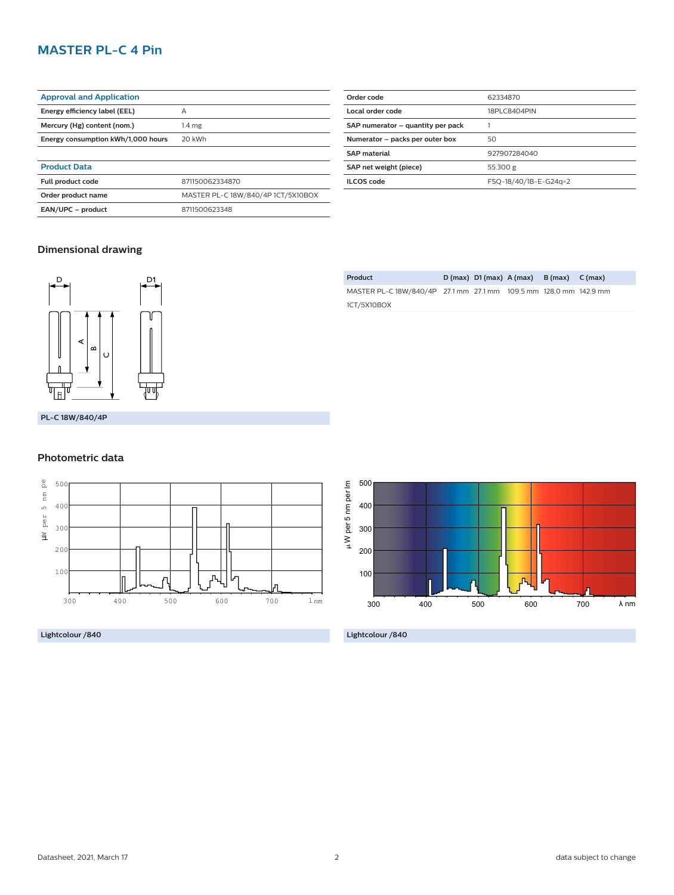# **MASTER PL-C 4 Pin**

| <b>Approval and Application</b>    |                                    |  |  |
|------------------------------------|------------------------------------|--|--|
| Energy efficiency label (EEL)      | А                                  |  |  |
| Mercury (Hg) content (nom.)        | 1.4 <sub>mg</sub>                  |  |  |
| Energy consumption kWh/1.000 hours | 20 kWh                             |  |  |
|                                    |                                    |  |  |
| <b>Product Data</b>                |                                    |  |  |
| <b>Full product code</b>           | 871150062334870                    |  |  |
| Order product name                 | MASTER PL-C 18W/840/4P 1CT/5X10BOX |  |  |
| EAN/UPC - product                  | 8711500623348                      |  |  |

| Order code                        | 62334870              |  |  |
|-----------------------------------|-----------------------|--|--|
| Local order code                  | 18PLC8404PIN          |  |  |
| SAP numerator - quantity per pack |                       |  |  |
| Numerator - packs per outer box   | 50                    |  |  |
| <b>SAP</b> material               | 927907284040          |  |  |
| SAP net weight (piece)            | 55.300 g              |  |  |
| <b>ILCOS</b> code                 | FSQ-18/40/1B-E-G24q=2 |  |  |
|                                   |                       |  |  |

## **Dimensional drawing**



**PL-C 18W/840/4P**

### **Photometric data**



**Lightcolour /840**

| Product                                                           |  | $D(max)$ $D1(max)$ $A(max)$ $B(max)$ $C(max)$ |  |
|-------------------------------------------------------------------|--|-----------------------------------------------|--|
| MASTER PL-C 18W/840/4P 27.1 mm 27.1 mm 109.5 mm 128.0 mm 142.9 mm |  |                                               |  |
| 1CT/5X10BOX                                                       |  |                                               |  |



**Lightcolour /840**